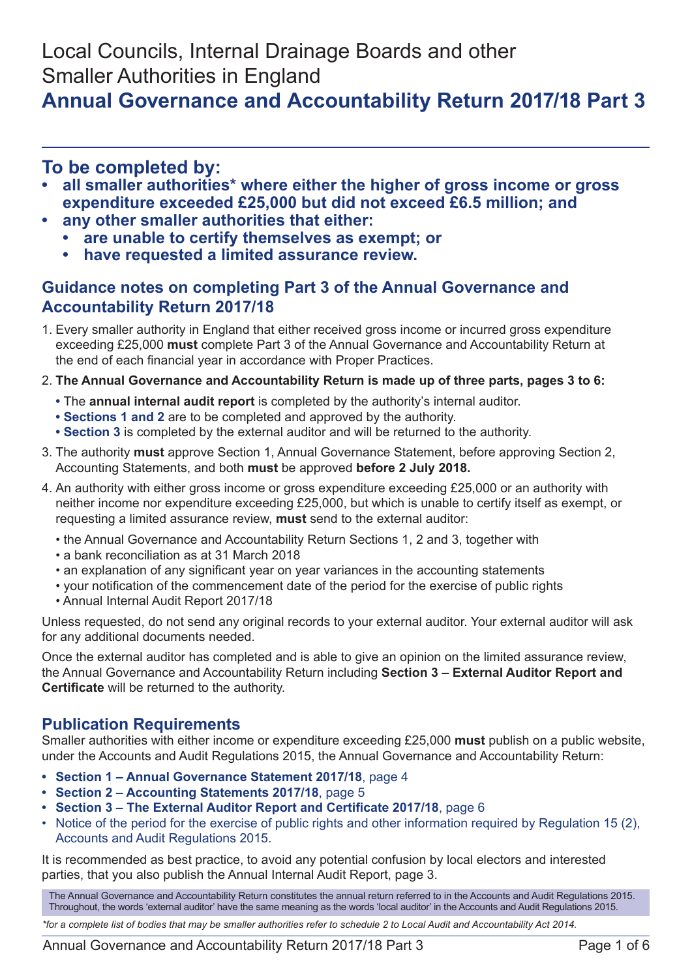Local Councils, Internal Drainage Boards and other Smaller Authorities in England

# **Annual Governance and Accountability Return 2017/18 Part 3**

# **To be completed by:**

- all smaller authorities\* where either the higher of gross income or gross **expenditure exceeded £25,000 but did not exceed £6.5 million; and**
	- **• any other smaller authorities that either:**
		- **• are unable to certify themselves as exempt; or**
		- **• have requested a limited assurance review.**

#### **Guidance notes on completing Part 3 of the Annual Governance and Accountability Return 2017/18**

- 1. Every smaller authority in England that either received gross income or incurred gross expenditure exceeding £25,000 **must** complete Part 3 of the Annual Governance and Accountability Return at the end of each financial year in accordance with Proper Practices.
- 2. **The Annual Governance and Accountability Return is made up of three parts, pages 3 to 6:**
	- **•** The **annual internal audit report** is completed by the authority's internal auditor.
	- **• Sections 1 and 2** are to be completed and approved by the authority.
	- **• Section 3** is completed by the external auditor and will be returned to the authority.
- 3. The authority **must** approve Section 1, Annual Governance Statement, before approving Section 2, Accounting Statements, and both **must** be approved **before 2 July 2018.**
- 4. An authority with either gross income or gross expenditure exceeding £25,000 or an authority with neither income nor expenditure exceeding £25,000, but which is unable to certify itself as exempt, or requesting a limited assurance review, **must** send to the external auditor:
	- the Annual Governance and Accountability Return Sections 1, 2 and 3, together with
	- a bank reconciliation as at 31 March 2018
	- an explanation of any significant year on year variances in the accounting statements
	- your notification of the commencement date of the period for the exercise of public rights
	- Annual Internal Audit Report 2017/18

Unless requested, do not send any original records to your external auditor. Your external auditor will ask for any additional documents needed.

Once the external auditor has completed and is able to give an opinion on the limited assurance review, the Annual Governance and Accountability Return including **Section 3 – External Auditor Report and Certificate** will be returned to the authority.

### **Publication Requirements**

Smaller authorities with either income or expenditure exceeding £25,000 **must** publish on a public website, under the Accounts and Audit Regulations 2015, the Annual Governance and Accountability Return:

- **• Section 1 – Annual Governance Statement 2017/18**, page 4
- **• Section 2 – Accounting Statements 2017/18**, page 5
- **• Section 3 – The External Auditor Report and Certificate 2017/18**, page 6
- Notice of the period for the exercise of public rights and other information required by Regulation 15 (2), Accounts and Audit Regulations 2015.

It is recommended as best practice, to avoid any potential confusion by local electors and interested parties, that you also publish the Annual Internal Audit Report, page 3.

The Annual Governance and Accountability Return constitutes the annual return referred to in the Accounts and Audit Regulations 2015. Throughout, the words 'external auditor' have the same meaning as the words 'local auditor' in the Accounts and Audit Regulations 2015.

*\*for a complete list of bodies that may be smaller authorities refer to schedule 2 to Local Audit and Accountability Act 2014.*

Annual Governance and Accountability Return 2017/18 Part 3 Page 1 of 6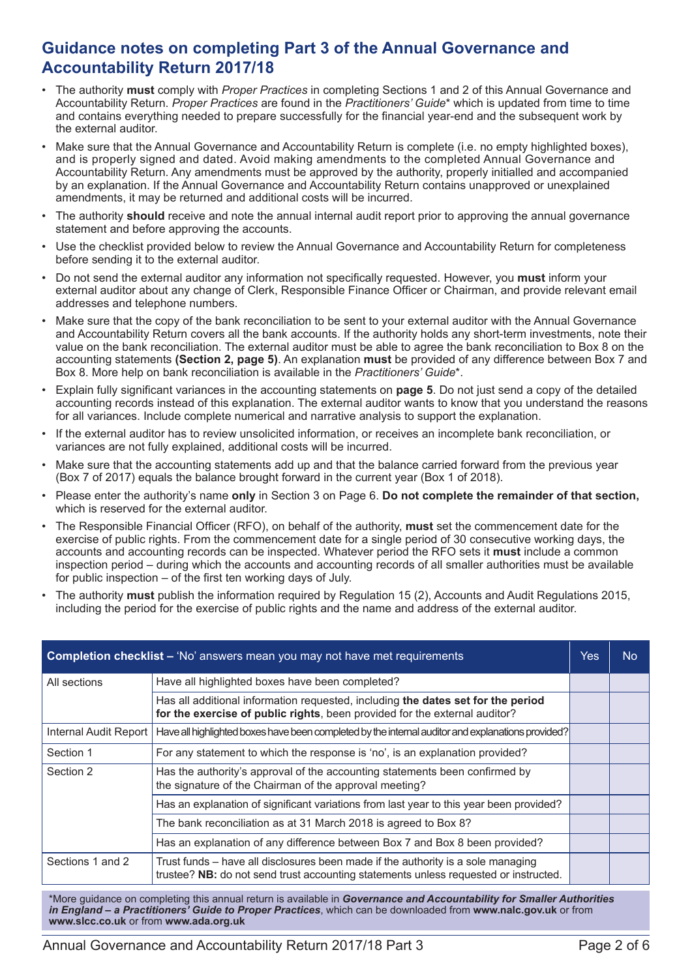#### **Guidance notes on completing Part 3 of the Annual Governance and Accountability Return 2017/18**

- The authority **must** comply with *Proper Practices* in completing Sections 1 and 2 of this Annual Governance and Accountability Return. *Proper Practices* are found in the *Practitioners' Guide*\* which is updated from time to time and contains everything needed to prepare successfully for the financial year-end and the subsequent work by the external auditor.
- Make sure that the Annual Governance and Accountability Return is complete (i.e. no empty highlighted boxes), and is properly signed and dated. Avoid making amendments to the completed Annual Governance and Accountability Return. Any amendments must be approved by the authority, properly initialled and accompanied by an explanation. If the Annual Governance and Accountability Return contains unapproved or unexplained amendments, it may be returned and additional costs will be incurred.
- The authority **should** receive and note the annual internal audit report prior to approving the annual governance statement and before approving the accounts.
- Use the checklist provided below to review the Annual Governance and Accountability Return for completeness before sending it to the external auditor.
- Do not send the external auditor any information not specifically requested. However, you **must** inform your external auditor about any change of Clerk, Responsible Finance Officer or Chairman, and provide relevant email addresses and telephone numbers.
- Make sure that the copy of the bank reconciliation to be sent to your external auditor with the Annual Governance and Accountability Return covers all the bank accounts. If the authority holds any short-term investments, note their value on the bank reconciliation. The external auditor must be able to agree the bank reconciliation to Box 8 on the accounting statements **(Section 2, page 5)**. An explanation **must** be provided of any difference between Box 7 and Box 8. More help on bank reconciliation is available in the *Practitioners' Guide*\*.
- Explain fully significant variances in the accounting statements on **page 5**. Do not just send a copy of the detailed accounting records instead of this explanation. The external auditor wants to know that you understand the reasons for all variances. Include complete numerical and narrative analysis to support the explanation.
- If the external auditor has to review unsolicited information, or receives an incomplete bank reconciliation, or variances are not fully explained, additional costs will be incurred.
- Make sure that the accounting statements add up and that the balance carried forward from the previous year (Box 7 of 2017) equals the balance brought forward in the current year (Box 1 of 2018).
- Please enter the authority's name **only** in Section 3 on Page 6. **Do not complete the remainder of that section,** which is reserved for the external auditor.
- The Responsible Financial Officer (RFO), on behalf of the authority, **must** set the commencement date for the exercise of public rights. From the commencement date for a single period of 30 consecutive working days, the accounts and accounting records can be inspected. Whatever period the RFO sets it **must** include a common inspection period – during which the accounts and accounting records of all smaller authorities must be available for public inspection – of the first ten working days of July.
- The authority **must** publish the information required by Regulation 15 (2), Accounts and Audit Regulations 2015, including the period for the exercise of public rights and the name and address of the external auditor.

| <b>Completion checklist - 'No' answers mean you may not have met requirements</b>                                                                  |                                                                                                                                                                          |  | No. |  |
|----------------------------------------------------------------------------------------------------------------------------------------------------|--------------------------------------------------------------------------------------------------------------------------------------------------------------------------|--|-----|--|
| All sections                                                                                                                                       | Have all highlighted boxes have been completed?                                                                                                                          |  |     |  |
|                                                                                                                                                    | Has all additional information requested, including the dates set for the period<br>for the exercise of public rights, been provided for the external auditor?           |  |     |  |
| Internal Audit Report                                                                                                                              | Have all highlighted boxes have been completed by the internal auditor and explanations provided?                                                                        |  |     |  |
| Section 1                                                                                                                                          | For any statement to which the response is 'no', is an explanation provided?                                                                                             |  |     |  |
| Has the authority's approval of the accounting statements been confirmed by<br>Section 2<br>the signature of the Chairman of the approval meeting? |                                                                                                                                                                          |  |     |  |
|                                                                                                                                                    | Has an explanation of significant variations from last year to this year been provided?                                                                                  |  |     |  |
|                                                                                                                                                    | The bank reconciliation as at 31 March 2018 is agreed to Box 8?                                                                                                          |  |     |  |
|                                                                                                                                                    | Has an explanation of any difference between Box 7 and Box 8 been provided?                                                                                              |  |     |  |
| Sections 1 and 2                                                                                                                                   | Trust funds – have all disclosures been made if the authority is a sole managing<br>trustee? NB: do not send trust accounting statements unless requested or instructed. |  |     |  |

\*More guidance on completing this annual return is available in *Governance and Accountability for Smaller Authorities in England – a Practitioners' Guide to Proper Practices*, which can be downloaded from **www.nalc.gov.uk** or from **www.slcc.co.uk** or from **www.ada.org.uk**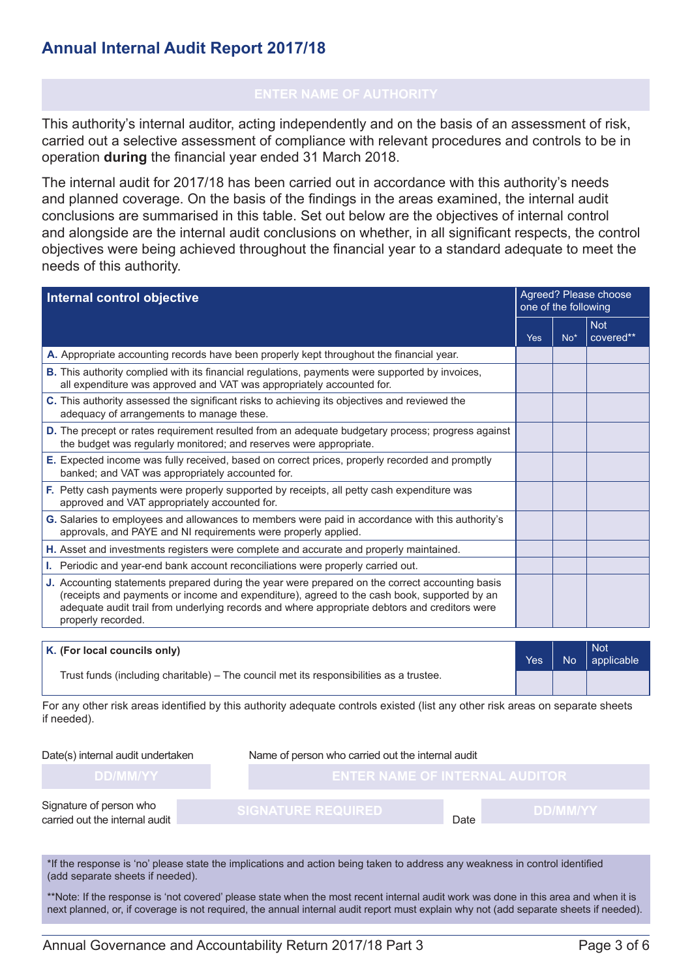## **Annual Internal Audit Report 2017/18**

This authority's internal auditor, acting independently and on the basis of an assessment of risk, carried out a selective assessment of compliance with relevant procedures and controls to be in operation **during** the financial year ended 31 March 2018.

The internal audit for 2017/18 has been carried out in accordance with this authority's needs and planned coverage. On the basis of the findings in the areas examined, the internal audit conclusions are summarised in this table. Set out below are the objectives of internal control and alongside are the internal audit conclusions on whether, in all significant respects, the control objectives were being achieved throughout the financial year to a standard adequate to meet the needs of this authority.

| Internal control objective                                                                                                                                                                                                                                                                                            |  | Agreed? Please choose<br>one of the following |                         |  |
|-----------------------------------------------------------------------------------------------------------------------------------------------------------------------------------------------------------------------------------------------------------------------------------------------------------------------|--|-----------------------------------------------|-------------------------|--|
|                                                                                                                                                                                                                                                                                                                       |  |                                               | <b>Not</b><br>covered** |  |
| A. Appropriate accounting records have been properly kept throughout the financial year.                                                                                                                                                                                                                              |  |                                               |                         |  |
| B. This authority complied with its financial regulations, payments were supported by invoices,<br>all expenditure was approved and VAT was appropriately accounted for.                                                                                                                                              |  |                                               |                         |  |
| C. This authority assessed the significant risks to achieving its objectives and reviewed the<br>adequacy of arrangements to manage these.                                                                                                                                                                            |  |                                               |                         |  |
| <b>D.</b> The precept or rates requirement resulted from an adequate budgetary process; progress against<br>the budget was regularly monitored; and reserves were appropriate.                                                                                                                                        |  |                                               |                         |  |
| E. Expected income was fully received, based on correct prices, properly recorded and promptly<br>banked; and VAT was appropriately accounted for.                                                                                                                                                                    |  |                                               |                         |  |
| F. Petty cash payments were properly supported by receipts, all petty cash expenditure was<br>approved and VAT appropriately accounted for.                                                                                                                                                                           |  |                                               |                         |  |
| G. Salaries to employees and allowances to members were paid in accordance with this authority's<br>approvals, and PAYE and NI requirements were properly applied.                                                                                                                                                    |  |                                               |                         |  |
| H. Asset and investments registers were complete and accurate and properly maintained.                                                                                                                                                                                                                                |  |                                               |                         |  |
| I. Periodic and year-end bank account reconciliations were properly carried out.                                                                                                                                                                                                                                      |  |                                               |                         |  |
| J. Accounting statements prepared during the year were prepared on the correct accounting basis<br>(receipts and payments or income and expenditure), agreed to the cash book, supported by an<br>adequate audit trail from underlying records and where appropriate debtors and creditors were<br>properly recorded. |  |                                               |                         |  |

| $\mathsf{K}$ . (For local councils only)                                                | <b>Yes</b> | N <sub>o</sub> | Not<br>applicable |
|-----------------------------------------------------------------------------------------|------------|----------------|-------------------|
| Trust funds (including charitable) – The council met its responsibilities as a trustee. |            |                |                   |

For any other risk areas identified by this authority adequate controls existed (list any other risk areas on separate sheets if needed).

#### Date(s) internal audit undertaken Name of person who carried out the internal audit

Date

Signature of person who carried out the internal audit

\*If the response is 'no' please state the implications and action being taken to address any weakness in control identified (add separate sheets if needed).

\*\*Note: If the response is 'not covered' please state when the most recent internal audit work was done in this area and when it is next planned, or, if coverage is not required, the annual internal audit report must explain why not (add separate sheets if needed).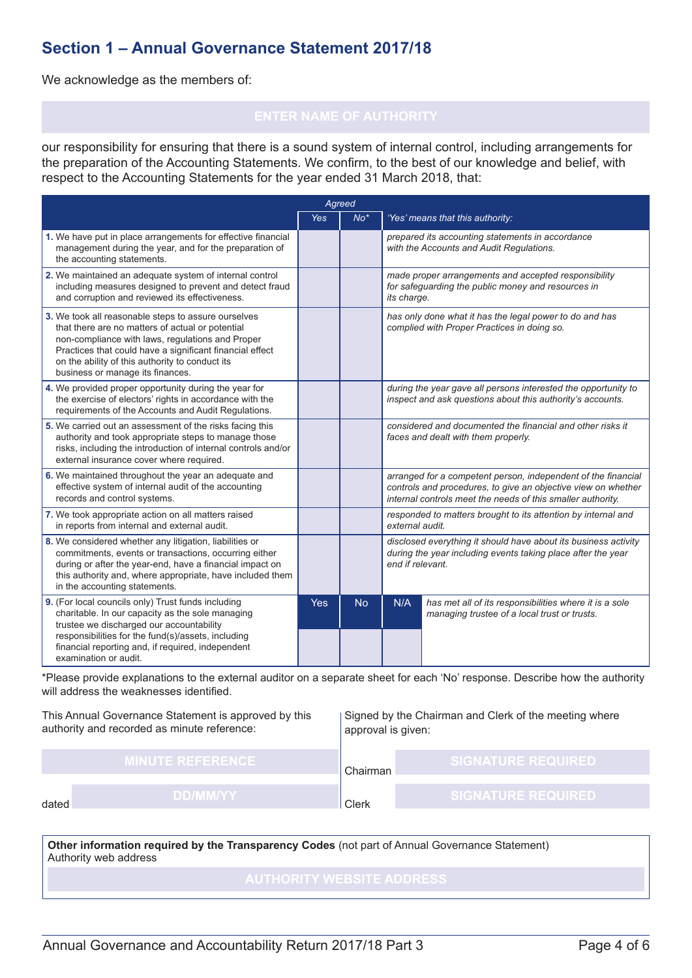### **Section 1 – Annual Governance Statement 2017/18**

We acknowledge as the members of:

our responsibility for ensuring that there is a sound system of internal control, including arrangements for the preparation of the Accounting Statements. We confirm, to the best of our knowledge and belief, with respect to the Accounting Statements for the year ended 31 March 2018, that:

| Agreed                                                                                                                                                                                                                                                                                                         |            |           |                                                                                                                                                                                               |                                                                                                        |
|----------------------------------------------------------------------------------------------------------------------------------------------------------------------------------------------------------------------------------------------------------------------------------------------------------------|------------|-----------|-----------------------------------------------------------------------------------------------------------------------------------------------------------------------------------------------|--------------------------------------------------------------------------------------------------------|
|                                                                                                                                                                                                                                                                                                                | <b>Yes</b> | $No*$     |                                                                                                                                                                                               | 'Yes' means that this authority:                                                                       |
| 1. We have put in place arrangements for effective financial<br>management during the year, and for the preparation of<br>the accounting statements.                                                                                                                                                           |            |           |                                                                                                                                                                                               | prepared its accounting statements in accordance<br>with the Accounts and Audit Regulations.           |
| 2. We maintained an adequate system of internal control<br>including measures designed to prevent and detect fraud<br>and corruption and reviewed its effectiveness.                                                                                                                                           |            |           | made proper arrangements and accepted responsibility<br>for safeguarding the public money and resources in<br>its charge.                                                                     |                                                                                                        |
| 3. We took all reasonable steps to assure ourselves<br>that there are no matters of actual or potential<br>non-compliance with laws, regulations and Proper<br>Practices that could have a significant financial effect<br>on the ability of this authority to conduct its<br>business or manage its finances. |            |           | has only done what it has the legal power to do and has<br>complied with Proper Practices in doing so.                                                                                        |                                                                                                        |
| 4. We provided proper opportunity during the year for<br>the exercise of electors' rights in accordance with the<br>requirements of the Accounts and Audit Regulations.                                                                                                                                        |            |           | during the year gave all persons interested the opportunity to<br>inspect and ask questions about this authority's accounts.                                                                  |                                                                                                        |
| 5. We carried out an assessment of the risks facing this<br>authority and took appropriate steps to manage those<br>risks, including the introduction of internal controls and/or<br>external insurance cover where required.                                                                                  |            |           | considered and documented the financial and other risks it<br>faces and dealt with them properly.                                                                                             |                                                                                                        |
| 6. We maintained throughout the year an adequate and<br>effective system of internal audit of the accounting<br>records and control systems.                                                                                                                                                                   |            |           | arranged for a competent person, independent of the financial<br>controls and procedures, to give an objective view on whether<br>internal controls meet the needs of this smaller authority. |                                                                                                        |
| 7. We took appropriate action on all matters raised<br>in reports from internal and external audit.                                                                                                                                                                                                            |            |           | responded to matters brought to its attention by internal and<br>external audit.                                                                                                              |                                                                                                        |
| 8. We considered whether any litigation, liabilities or<br>commitments, events or transactions, occurring either<br>during or after the year-end, have a financial impact on<br>this authority and, where appropriate, have included them<br>in the accounting statements.                                     |            |           | disclosed everything it should have about its business activity<br>during the year including events taking place after the year<br>end if relevant.                                           |                                                                                                        |
| 9. (For local councils only) Trust funds including<br>charitable. In our capacity as the sole managing<br>trustee we discharged our accountability<br>responsibilities for the fund(s)/assets, including<br>financial reporting and, if required, independent<br>examination or audit.                         | <b>Yes</b> | <b>No</b> | N/A                                                                                                                                                                                           | has met all of its responsibilities where it is a sole<br>managing trustee of a local trust or trusts. |

\*Please provide explanations to the external auditor on a separate sheet for each 'No' response. Describe how the authority will address the weaknesses identified.

This Annual Governance Statement is approved by this authority and recorded as minute reference:

Signed by the Chairman and Clerk of the meeting where approval is given:

| <b>MINUTE REFERENCE</b> | Chairman | <b>SIGNATURE REQUIRED</b> |
|-------------------------|----------|---------------------------|
| <b>DD/MM/YY</b>         | ∩ler.    | <b>SIGNATURE REQUIRED</b> |

Authority web address **Other information required by the Transparency Codes** (not part of Annual Governance Statement)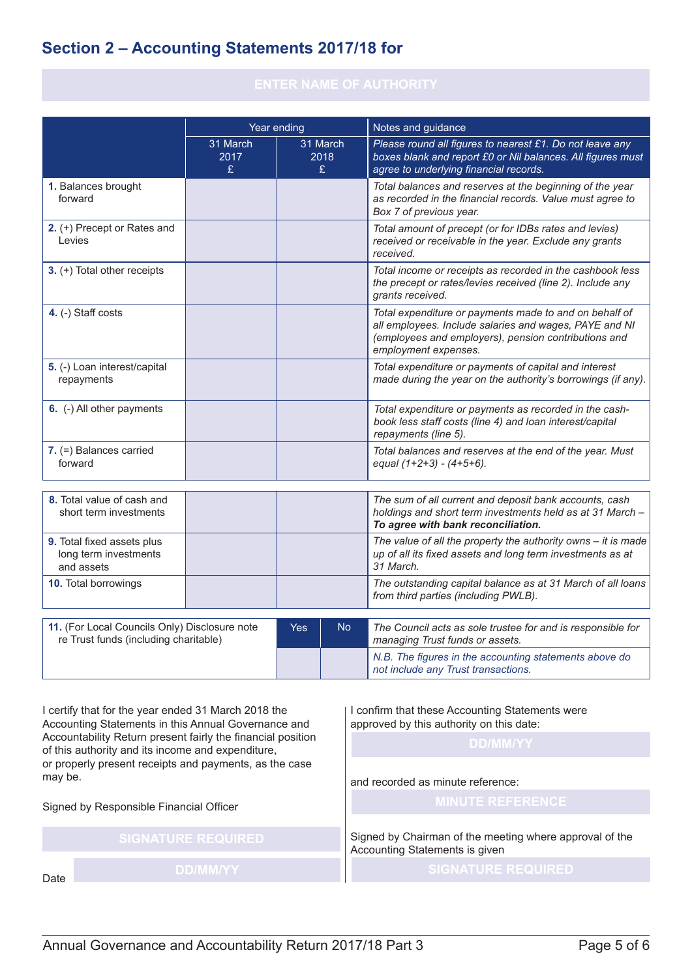## **Section 2 – Accounting Statements 2017/18 for**

|                                                                   | Year ending           |  |                                                                                                                                             | Notes and guidance                                                                                                                                                                               |  |  |
|-------------------------------------------------------------------|-----------------------|--|---------------------------------------------------------------------------------------------------------------------------------------------|--------------------------------------------------------------------------------------------------------------------------------------------------------------------------------------------------|--|--|
|                                                                   | 31 March<br>2017<br>£ |  | 31 March<br>2018<br>£                                                                                                                       | Please round all figures to nearest £1. Do not leave any<br>boxes blank and report £0 or Nil balances. All figures must<br>agree to underlying financial records.                                |  |  |
| 1. Balances brought<br>forward                                    |                       |  |                                                                                                                                             | Total balances and reserves at the beginning of the year<br>as recorded in the financial records. Value must agree to<br>Box 7 of previous year.                                                 |  |  |
| 2. (+) Precept or Rates and<br>Levies                             |                       |  |                                                                                                                                             | Total amount of precept (or for IDBs rates and levies)<br>received or receivable in the year. Exclude any grants<br>received.                                                                    |  |  |
| 3. (+) Total other receipts                                       |                       |  | Total income or receipts as recorded in the cashbook less<br>the precept or rates/levies received (line 2). Include any<br>grants received. |                                                                                                                                                                                                  |  |  |
| 4. (-) Staff costs                                                |                       |  |                                                                                                                                             | Total expenditure or payments made to and on behalf of<br>all employees. Include salaries and wages, PAYE and NI<br>(employees and employers), pension contributions and<br>employment expenses. |  |  |
| 5. (-) Loan interest/capital<br>repayments                        |                       |  |                                                                                                                                             | Total expenditure or payments of capital and interest<br>made during the year on the authority's borrowings (if any).                                                                            |  |  |
| 6. (-) All other payments                                         |                       |  |                                                                                                                                             | Total expenditure or payments as recorded in the cash-<br>book less staff costs (line 4) and loan interest/capital<br>repayments (line 5).                                                       |  |  |
| $7.$ (=) Balances carried<br>forward                              |                       |  |                                                                                                                                             | Total balances and reserves at the end of the year. Must<br>equal $(1+2+3) - (4+5+6)$ .                                                                                                          |  |  |
| 8. Total value of cash and<br>short term investments              |                       |  |                                                                                                                                             | The sum of all current and deposit bank accounts, cash<br>holdings and short term investments held as at 31 March -<br>To agree with bank reconciliation.                                        |  |  |
| 9. Total fixed assets plus<br>long term investments<br>and assets |                       |  |                                                                                                                                             | The value of all the property the authority owns $-$ it is made<br>up of all its fixed assets and long term investments as at<br>31 March.                                                       |  |  |
| 10. Total borrowings                                              |                       |  |                                                                                                                                             | The outstanding capital balance as at 31 March of all loans<br>from third parties (including PWLB).                                                                                              |  |  |
| 11. (For Local Councils Only) Disclosure note<br><b>Yes</b>       |                       |  | N <sub>o</sub>                                                                                                                              | The Council acts as sole trustee for and is responsible for                                                                                                                                      |  |  |
| re Trust funds (including charitable)                             |                       |  |                                                                                                                                             | managing Trust funds or assets.                                                                                                                                                                  |  |  |
|                                                                   |                       |  |                                                                                                                                             | N.B. The figures in the accounting statements above do<br>not include any Trust transactions.                                                                                                    |  |  |

I certify that for the year ended 31 March 2018 the Accounting Statements in this Annual Governance and Accountability Return present fairly the financial position of this authority and its income and expenditure, or properly present receipts and payments, as the case may be.

Signed by Responsible Financial Officer

I confirm that these Accounting Statements were approved by this authority on this date:

and recorded as minute reference:

Signed by Chairman of the meeting where approval of the Accounting Statements is given

Date